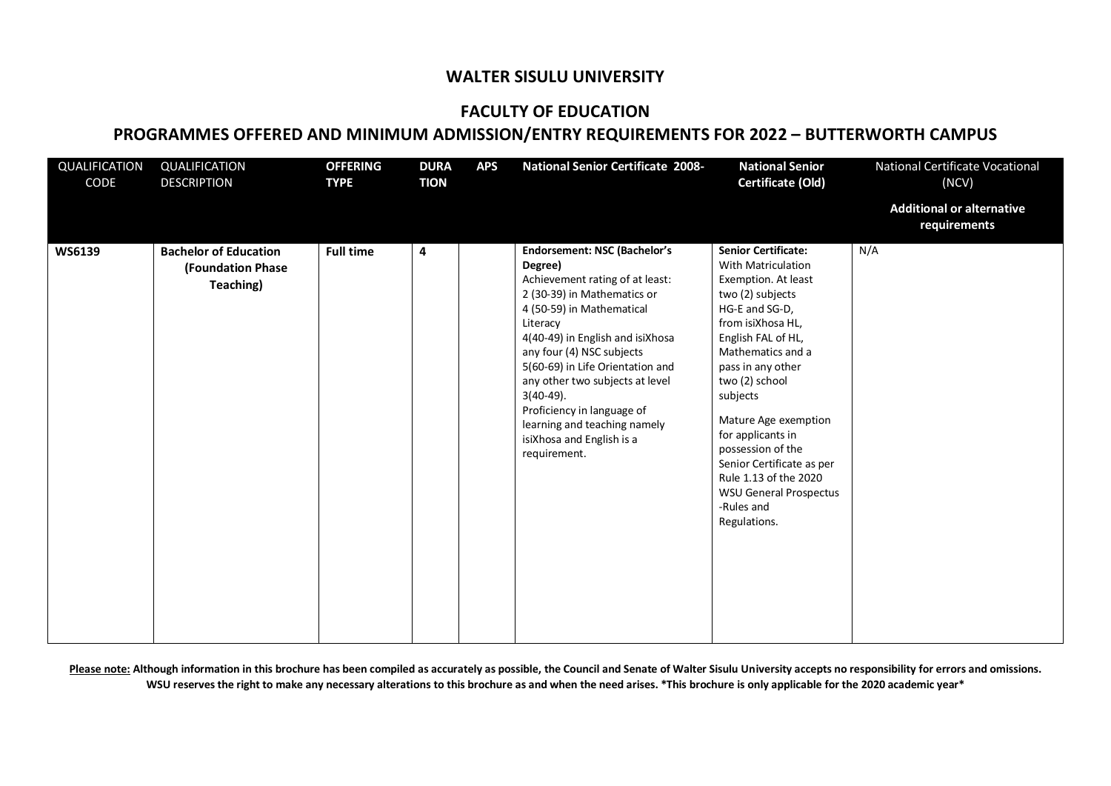## **WALTER SISULU UNIVERSITY**

## **FACULTY OF EDUCATION**

## **PROGRAMMES OFFERED AND MINIMUM ADMISSION/ENTRY REQUIREMENTS FOR 2022 – BUTTERWORTH CAMPUS**

| QUALIFICATION<br>CODE | QUALIFICATION<br><b>DESCRIPTION</b>                                   | <b>OFFERING</b><br><b>TYPE</b> | <b>DURA</b><br><b>TION</b> | <b>APS</b> | <b>National Senior Certificate 2008-</b>                                                                                                                                                                                                                                                                                                                                                                                     | <b>National Senior</b><br>Certificate (Old)                                                                                                                                                                                                                                                                                                                                                                                    | National Certificate Vocational<br>(NCV)         |
|-----------------------|-----------------------------------------------------------------------|--------------------------------|----------------------------|------------|------------------------------------------------------------------------------------------------------------------------------------------------------------------------------------------------------------------------------------------------------------------------------------------------------------------------------------------------------------------------------------------------------------------------------|--------------------------------------------------------------------------------------------------------------------------------------------------------------------------------------------------------------------------------------------------------------------------------------------------------------------------------------------------------------------------------------------------------------------------------|--------------------------------------------------|
|                       |                                                                       |                                |                            |            |                                                                                                                                                                                                                                                                                                                                                                                                                              |                                                                                                                                                                                                                                                                                                                                                                                                                                | <b>Additional or alternative</b><br>requirements |
| WS6139                | <b>Bachelor of Education</b><br><b>(Foundation Phase</b><br>Teaching) | <b>Full time</b>               | 4                          |            | <b>Endorsement: NSC (Bachelor's</b><br>Degree)<br>Achievement rating of at least:<br>2 (30-39) in Mathematics or<br>4 (50-59) in Mathematical<br>Literacy<br>4(40-49) in English and isiXhosa<br>any four (4) NSC subjects<br>5(60-69) in Life Orientation and<br>any other two subjects at level<br>$3(40-49)$ .<br>Proficiency in language of<br>learning and teaching namely<br>isiXhosa and English is a<br>requirement. | <b>Senior Certificate:</b><br><b>With Matriculation</b><br>Exemption. At least<br>two (2) subjects<br>HG-E and SG-D,<br>from isiXhosa HL,<br>English FAL of HL,<br>Mathematics and a<br>pass in any other<br>two (2) school<br>subjects<br>Mature Age exemption<br>for applicants in<br>possession of the<br>Senior Certificate as per<br>Rule 1.13 of the 2020<br><b>WSU General Prospectus</b><br>-Rules and<br>Regulations. | N/A                                              |

Please note: Although information in this brochure has been compiled as accurately as possible, the Council and Senate of Walter Sisulu University accepts no responsibility for errors and omissions. **WSU reserves the right to make any necessary alterations to this brochure as and when the need arises. \*This brochure is only applicable for the 2020 academic year\***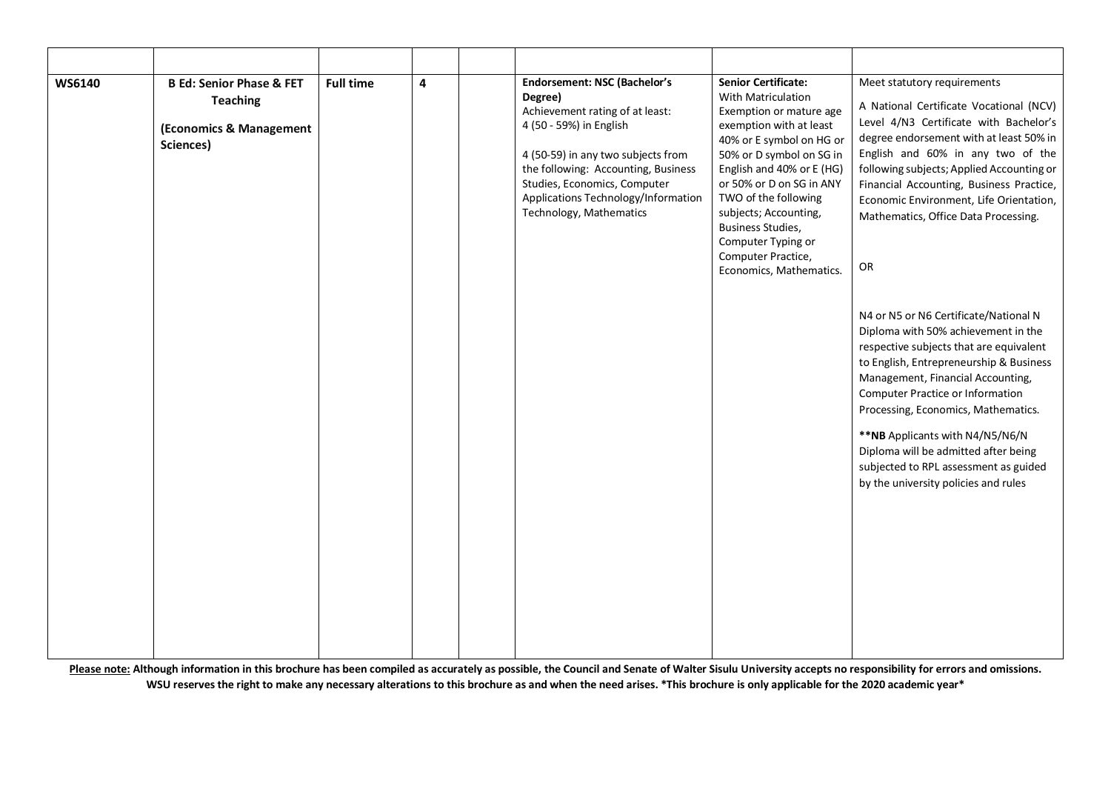| WS6140 | <b>B Ed: Senior Phase &amp; FET</b><br><b>Teaching</b><br>(Economics & Management<br>Sciences) | <b>Full time</b> | 4 | <b>Endorsement: NSC (Bachelor's</b><br>Degree)<br>Achievement rating of at least:<br>4 (50 - 59%) in English<br>4 (50-59) in any two subjects from<br>the following: Accounting, Business<br>Studies, Economics, Computer<br>Applications Technology/Information<br>Technology, Mathematics | <b>Senior Certificate:</b><br>With Matriculation<br>Exemption or mature age<br>exemption with at least<br>40% or E symbol on HG or<br>50% or D symbol on SG in<br>English and 40% or E (HG)<br>or 50% or D on SG in ANY<br>TWO of the following<br>subjects; Accounting,<br>Business Studies,<br>Computer Typing or<br>Computer Practice,<br>Economics, Mathematics. | Meet statutory requirements<br>A National Certificate Vocational (NCV)<br>Level 4/N3 Certificate with Bachelor's<br>degree endorsement with at least 50% in<br>English and 60% in any two of the<br>following subjects; Applied Accounting or<br>Financial Accounting, Business Practice,<br>Economic Environment, Life Orientation,<br>Mathematics, Office Data Processing.<br>OR                                                                     |
|--------|------------------------------------------------------------------------------------------------|------------------|---|---------------------------------------------------------------------------------------------------------------------------------------------------------------------------------------------------------------------------------------------------------------------------------------------|----------------------------------------------------------------------------------------------------------------------------------------------------------------------------------------------------------------------------------------------------------------------------------------------------------------------------------------------------------------------|--------------------------------------------------------------------------------------------------------------------------------------------------------------------------------------------------------------------------------------------------------------------------------------------------------------------------------------------------------------------------------------------------------------------------------------------------------|
|        |                                                                                                |                  |   |                                                                                                                                                                                                                                                                                             |                                                                                                                                                                                                                                                                                                                                                                      | N4 or N5 or N6 Certificate/National N<br>Diploma with 50% achievement in the<br>respective subjects that are equivalent<br>to English, Entrepreneurship & Business<br>Management, Financial Accounting,<br><b>Computer Practice or Information</b><br>Processing, Economics, Mathematics.<br>** NB Applicants with N4/N5/N6/N<br>Diploma will be admitted after being<br>subjected to RPL assessment as guided<br>by the university policies and rules |

Please note: Although information in this brochure has been compiled as accurately as possible, the Council and Senate of Walter Sisulu University accepts no responsibility for errors and omissions. **WSU reserves the right to make any necessary alterations to this brochure as and when the need arises. \*This brochure is only applicable for the 2020 academic year\***